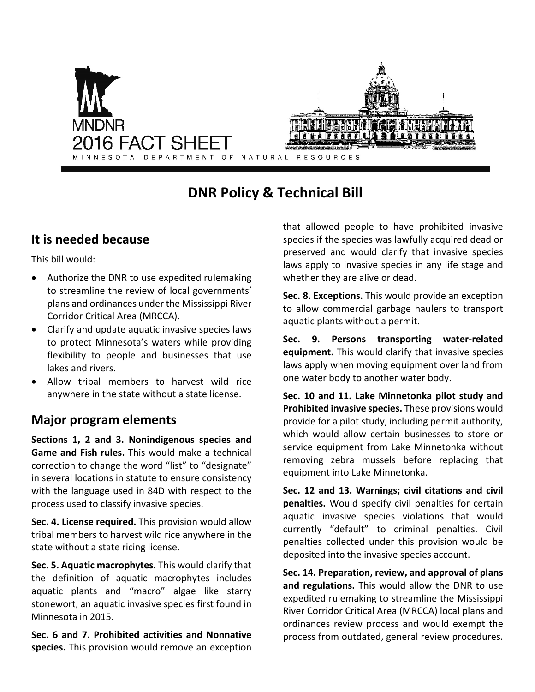

# **DNR Policy & Technical Bill**

## **It is needed because**

This bill would:

- Authorize the DNR to use expedited rulemaking to streamline the review of local governments' plans and ordinances under the Mississippi River Corridor Critical Area (MRCCA).
- Clarify and update aquatic invasive species laws to protect Minnesota's waters while providing flexibility to people and businesses that use lakes and rivers.
- Allow tribal members to harvest wild rice anywhere in the state without a state license.

# **Major program elements**

**Sections 1, 2 and 3. Nonindigenous species and Game and Fish rules.** This would make a technical correction to change the word "list" to "designate" in several locations in statute to ensure consistency with the language used in 84D with respect to the process used to classify invasive species.

**Sec. 4. License required.** This provision would allow tribal members to harvest wild rice anywhere in the state without a state ricing license.

**Sec. 5. Aquatic macrophytes.** This would clarify that the definition of aquatic macrophytes includes aquatic plants and "macro" algae like starry stonewort, an aquatic invasive species first found in Minnesota in 2015.

**Sec. 6 and 7. Prohibited activities and Nonnative species.** This provision would remove an exception that allowed people to have prohibited invasive species if the species was lawfully acquired dead or preserved and would clarify that invasive species laws apply to invasive species in any life stage and whether they are alive or dead.

**Sec. 8. Exceptions.** This would provide an exception to allow commercial garbage haulers to transport aquatic plants without a permit.

**Sec. 9. Persons transporting water-related equipment.** This would clarify that invasive species laws apply when moving equipment over land from one water body to another water body.

**Sec. 10 and 11. Lake Minnetonka pilot study and Prohibited invasive species.** These provisions would provide for a pilot study, including permit authority, which would allow certain businesses to store or service equipment from Lake Minnetonka without removing zebra mussels before replacing that equipment into Lake Minnetonka.

**Sec. 12 and 13. Warnings; civil citations and civil penalties.** Would specify civil penalties for certain aquatic invasive species violations that would currently "default" to criminal penalties. Civil penalties collected under this provision would be deposited into the invasive species account.

**Sec. 14. Preparation, review, and approval of plans and regulations.** This would allow the DNR to use expedited rulemaking to streamline the Mississippi River Corridor Critical Area (MRCCA) local plans and ordinances review process and would exempt the process from outdated, general review procedures.